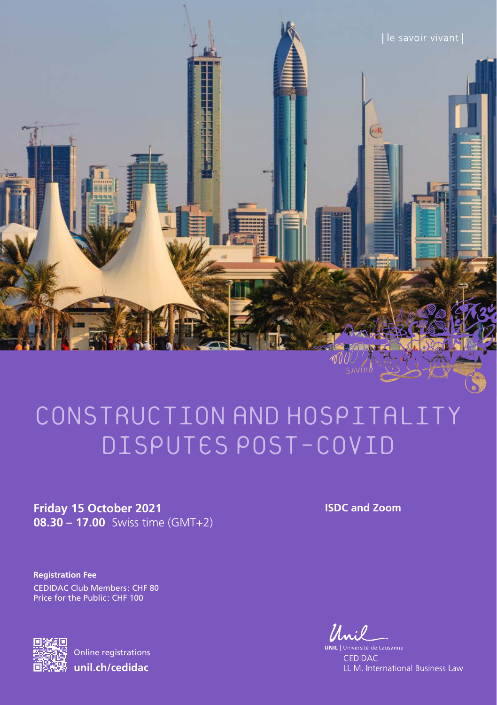

## CONSTRUCTION  AND  HOSPITALITY DISPUTES  POST-COVID

**Friday 15 October 2021 08.30 – 17.00** Swiss time (GMT+2) **ISDC and Zoom**

**Registration Fee** CEDIDAC Club Members: CHF 80 Price for the Public: CHF 100



Online registrations **unil.ch/cedidac**

Muil

UNIL | Ur iversité de Lausanne CEDIDAC LL.M. International Business Law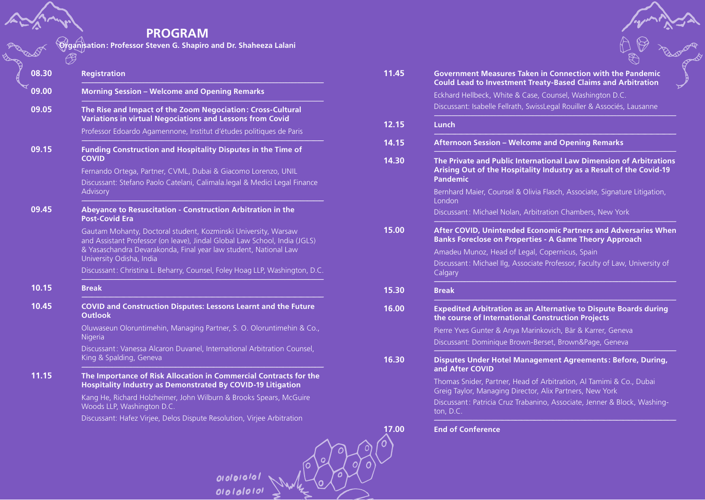## **PROGRAM**

**Organisation: Professor Steven G. Shapiro and Dr. Shaheeza Lalani**

| 09.00 | <b>Morning Session - Welcome and Opening Remarks</b>                                                                                                                                                                                         |
|-------|----------------------------------------------------------------------------------------------------------------------------------------------------------------------------------------------------------------------------------------------|
| 09.05 | The Rise and Impact of the Zoom Negociation: Cross-Cultural<br><b>Variations in virtual Negociations and Lessons from Covid</b>                                                                                                              |
|       | Professor Edoardo Agamennone, Institut d'études politiques de Paris                                                                                                                                                                          |
| 09.15 | Funding Construction and Hospitality Disputes in the Time of<br><b>COVID</b>                                                                                                                                                                 |
|       | Fernando Ortega, Partner, CVML, Dubai & Giacomo Lorenzo, UNIL                                                                                                                                                                                |
|       | Discussant: Stefano Paolo Catelani, Calimala.legal & Medici Legal Finance<br>Advisory                                                                                                                                                        |
| 09.45 | Abeyance to Resuscitation - Construction Arbitration in the<br><b>Post-Covid Era</b>                                                                                                                                                         |
|       | Gautam Mohanty, Doctoral student, Kozminski University, Warsaw<br>and Assistant Professor (on leave), Jindal Global Law School, India (JGLS)<br>& Yasaschandra Devarakonda, Final year law student, National Law<br>University Odisha, India |
|       | Discussant: Christina L. Beharry, Counsel, Foley Hoag LLP, Washington, D.C.                                                                                                                                                                  |
| 10.15 | <b>Break</b>                                                                                                                                                                                                                                 |
| 10.45 | <b>COVID and Construction Disputes: Lessons Learnt and the Future</b><br><b>Outlook</b>                                                                                                                                                      |
|       | Oluwaseun Oloruntimehin, Managing Partner, S. O. Oloruntimehin & Co.,<br>Nigeria                                                                                                                                                             |
|       | Discussant: Vanessa Alcaron Duvanel, International Arbitration Counsel,<br>King & Spalding, Geneva                                                                                                                                           |
| 11.15 | The Importance of Risk Allocation in Commercial Contracts for the<br><b>Hospitality Industry as Demonstrated By COVID-19 Litigation</b>                                                                                                      |
|       | Kang He, Richard Holzheimer, John Wilburn & Brooks Spears, McGuire<br>Woods LLP, Washington D.C.                                                                                                                                             |
|       | Discussant: Hafez Virjee, Delos Dispute Resolution, Virjee Arbitration                                                                                                                                                                       |

ololololol<br>Ololololol

| 11.45 | Government Measures Taken in Connection with the Pandemic<br><b>Could Lead to Investment Treaty-Based Claims and Arbitration</b><br>᠊ᢧ                       |  |
|-------|--------------------------------------------------------------------------------------------------------------------------------------------------------------|--|
|       | Eckhard Hellbeck, White & Case, Counsel, Washington D.C.                                                                                                     |  |
|       | Discussant: Isabelle Fellrath, SwissLegal Rouiller & Associés, Lausanne                                                                                      |  |
| 12.15 | Lunch                                                                                                                                                        |  |
| 14.15 | <b>Afternoon Session - Welcome and Opening Remarks</b>                                                                                                       |  |
| 14.30 | The Private and Public International Law Dimension of Arbitrations<br>Arising Out of the Hospitality Industry as a Result of the Covid-19<br><b>Pandemic</b> |  |
|       | Bernhard Maier, Counsel & Olivia Flasch, Associate, Signature Litigation,<br>London                                                                          |  |
|       | Discussant: Michael Nolan, Arbitration Chambers, New York                                                                                                    |  |
| 15.00 | <b>After COVID, Unintended Economic Partners and Adversaries When</b><br><b>Banks Foreclose on Properties - A Game Theory Approach</b>                       |  |
|       | Amadeu Munoz, Head of Legal, Copernicus, Spain                                                                                                               |  |
|       | Discussant: Michael Ilg, Associate Professor, Faculty of Law, University of<br>Calgary                                                                       |  |
| 15.30 | <b>Break</b>                                                                                                                                                 |  |
| 16.00 | <b>Expedited Arbitration as an Alternative to Dispute Boards during</b><br>the course of International Construction Projects                                 |  |
|       | Pierre Yves Gunter & Anya Marinkovich, Bär & Karrer, Geneva                                                                                                  |  |
|       | Discussant: Dominique Brown-Berset, Brown&Page, Geneva                                                                                                       |  |
| 16.30 | Disputes Under Hotel Management Agreements: Before, During,<br>and After COVID                                                                               |  |
|       | Thomas Snider, Partner, Head of Arbitration, Al Tamimi & Co., Dubai<br>Greig Taylor, Managing Director, Alix Partners, New York                              |  |
|       | Discussant: Patricia Cruz Trabanino, Associate, Jenner & Block, Washing-<br>ton, D.C.                                                                        |  |
| 17.00 | <b>End of Conference</b>                                                                                                                                     |  |

 $^\prime$ 0